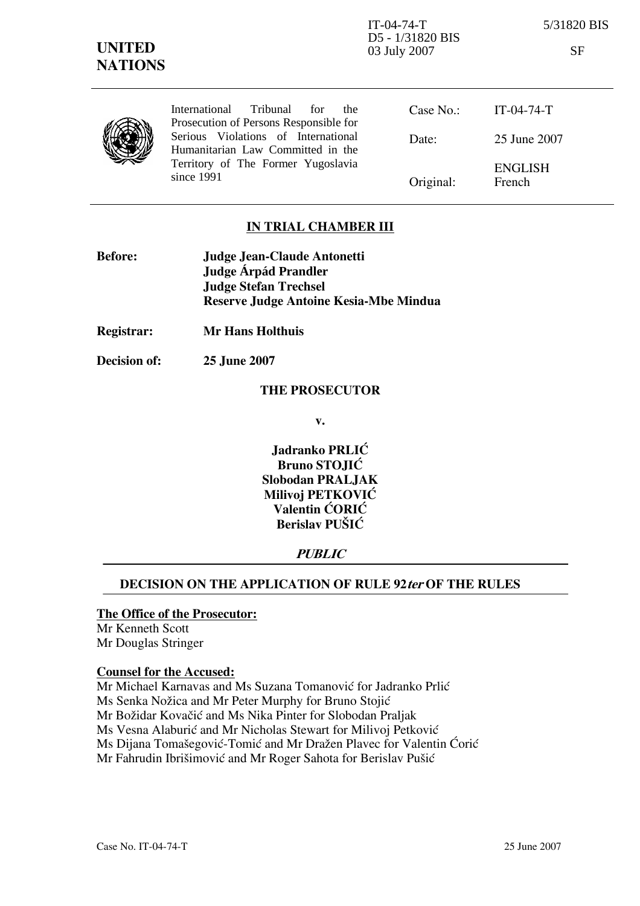|  | International Tribunal<br>for<br>the.<br>Prosecution of Persons Responsible for | Case No.: | $IT-04-74-T$             |
|--|---------------------------------------------------------------------------------|-----------|--------------------------|
|  | Serious Violations of International<br>Humanitarian Law Committed in the        | Date:     | 25 June 2007             |
|  | Territory of The Former Yugoslavia<br>since 1991                                | Original: | <b>ENGLISH</b><br>French |
|  |                                                                                 |           |                          |

## IN TRIAL CHAMBER III

- Before: Judge Jean-Claude Antonetti Judge **Árpád Prandler**  Judge Stefan Trechsel Reserve Judge Antoine Kesia-Mbe Mindua
- Registrar: Mr Hans Holthuis
- Decision of: 25 June 2007

#### THE PROSECUTOR

v.

Jadranko PRLIĆ Bruno STOJIĆ Slobodan PRALJAK Milivoi PETKOVIĆ Valentin ĆORIĆ Berislav PUŠIĆ

## **PUBLIC**

## DECISION ON THE APPLICATION OF RULE 92 ter OF THE RULES

#### The Office of the Prosecutor:

Mr Kenneth Scott Mr Douglas Stringer

### Counsel for the Accused:

Mr Michael Karnavas and Ms Suzana Tomanović for Jadranko Prlić Ms Senka Nožica and Mr Peter Murphy for Bruno Stojić Mr Božidar Kovačić and Ms Nika Pinter for Slobodan Praljak Ms Vesna Alaburić and Mr Nicholas Stewart for Milivoj Petković Ms Dijana Tomašegović-Tomić and Mr Dražen Plavec for Valentin Ćorić Mr Fahrudin Ibrišimović and Mr Roger Sahota for Berislav Pušić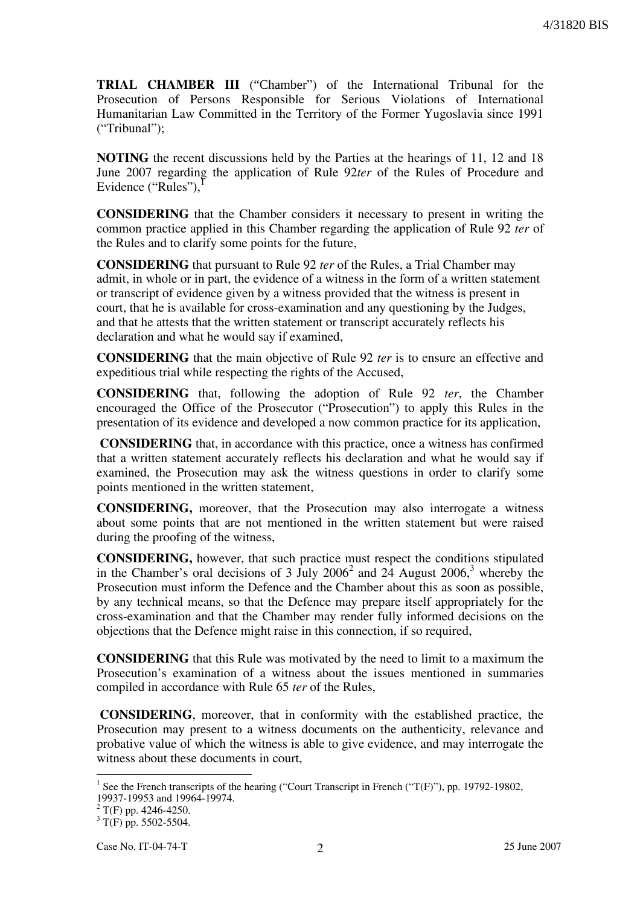TRIAL CHAMBER III ("Chamber") of the International Tribunal for the Prosecution of Persons Responsible for Serious Violations of International Humanitarian Law Committed in the Territory of the Former Yugoslavia since 1991 ("Tribunal");

NOTING the recent discussions held by the Parties at the hearings of 11, 12 and 18 June 2007 regarding the application of Rule 92ter of the Rules of Procedure and Evidence ("Rules"),

CONSIDERING that the Chamber considers it necessary to present in writing the common practice applied in this Chamber regarding the application of Rule 92 ter of the Rules and to clarify some points for the future,

CONSIDERING that pursuant to Rule 92 ter of the Rules, a Trial Chamber may admit, in whole or in part, the evidence of a witness in the form of a written statement or transcript of evidence given by a witness provided that the witness is present in court, that he is available for cross-examination and any questioning by the Judges, and that he attests that the written statement or transcript accurately reflects his declaration and what he would say if examined,

CONSIDERING that the main objective of Rule 92 ter is to ensure an effective and expeditious trial while respecting the rights of the Accused,

CONSIDERING that, following the adoption of Rule 92 ter, the Chamber encouraged the Office of the Prosecutor ("Prosecution") to apply this Rules in the presentation of its evidence and developed a now common practice for its application,

CONSIDERING that, in accordance with this practice, once a witness has confirmed that a written statement accurately reflects his declaration and what he would say if examined, the Prosecution may ask the witness questions in order to clarify some points mentioned in the written statement,

CONSIDERING, moreover, that the Prosecution may also interrogate a witness about some points that are not mentioned in the written statement but were raised during the proofing of the witness,

CONSIDERING, however, that such practice must respect the conditions stipulated in the Chamber's oral decisions of 3 July 2006<sup>2</sup> and 24 August 2006,<sup>3</sup> whereby the Prosecution must inform the Defence and the Chamber about this as soon as possible, by any technical means, so that the Defence may prepare itself appropriately for the cross-examination and that the Chamber may render fully informed decisions on the objections that the Defence might raise in this connection, if so required,

CONSIDERING that this Rule was motivated by the need to limit to a maximum the Prosecution's examination of a witness about the issues mentioned in summaries compiled in accordance with Rule 65 ter of the Rules,

CONSIDERING, moreover, that in conformity with the established practice, the Prosecution may present to a witness documents on the authenticity, relevance and probative value of which the witness is able to give evidence, and may interrogate the witness about these documents in court,

 $\overline{a}$ 

<sup>&</sup>lt;sup>1</sup> See the French transcripts of the hearing ("Court Transcript in French ("T(F)"), pp. 19792-19802, 19937-19953 and 19964-19974.

 $2 \text{ T(F)}$  pp. 4246-4250.

 $3 \text{ T(F)}$  pp. 5502-5504.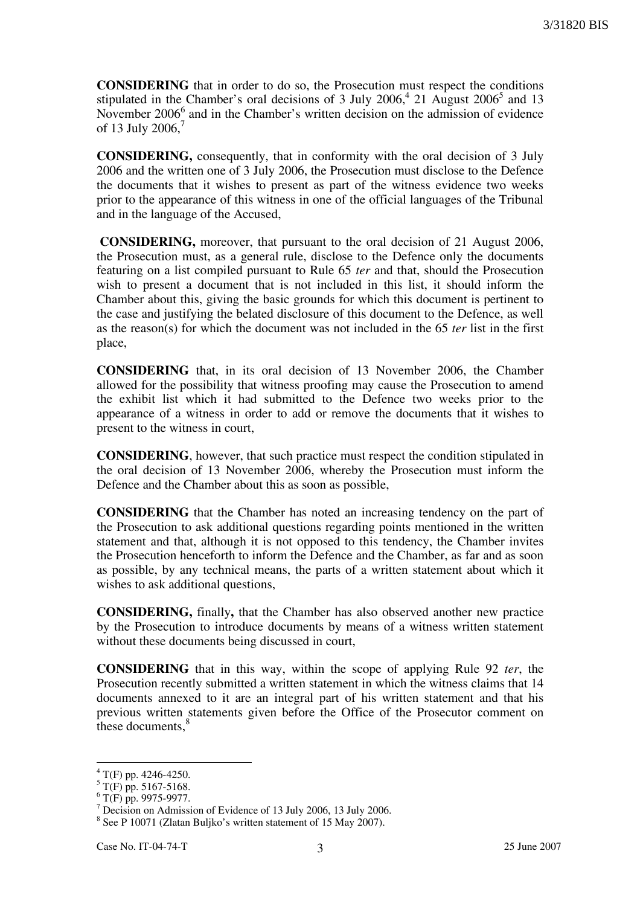CONSIDERING that in order to do so, the Prosecution must respect the conditions stipulated in the Chamber's oral decisions of 3 July  $2006<sup>4</sup>$ , 21 August  $2006<sup>5</sup>$  and 13 November 2006<sup>6</sup> and in the Chamber's written decision on the admission of evidence of 13 July 2006.<sup>7</sup>

CONSIDERING, consequently, that in conformity with the oral decision of 3 July 2006 and the written one of 3 July 2006, the Prosecution must disclose to the Defence the documents that it wishes to present as part of the witness evidence two weeks prior to the appearance of this witness in one of the official languages of the Tribunal and in the language of the Accused,

CONSIDERING, moreover, that pursuant to the oral decision of 21 August 2006, the Prosecution must, as a general rule, disclose to the Defence only the documents featuring on a list compiled pursuant to Rule 65 ter and that, should the Prosecution wish to present a document that is not included in this list, it should inform the Chamber about this, giving the basic grounds for which this document is pertinent to the case and justifying the belated disclosure of this document to the Defence, as well as the reason(s) for which the document was not included in the 65 ter list in the first place,

CONSIDERING that, in its oral decision of 13 November 2006, the Chamber allowed for the possibility that witness proofing may cause the Prosecution to amend the exhibit list which it had submitted to the Defence two weeks prior to the appearance of a witness in order to add or remove the documents that it wishes to present to the witness in court,

CONSIDERING, however, that such practice must respect the condition stipulated in the oral decision of 13 November 2006, whereby the Prosecution must inform the Defence and the Chamber about this as soon as possible,

CONSIDERING that the Chamber has noted an increasing tendency on the part of the Prosecution to ask additional questions regarding points mentioned in the written statement and that, although it is not opposed to this tendency, the Chamber invites the Prosecution henceforth to inform the Defence and the Chamber, as far and as soon as possible, by any technical means, the parts of a written statement about which it wishes to ask additional questions,

CONSIDERING, finally, that the Chamber has also observed another new practice by the Prosecution to introduce documents by means of a witness written statement without these documents being discussed in court,

CONSIDERING that in this way, within the scope of applying Rule 92 ter, the Prosecution recently submitted a written statement in which the witness claims that 14 documents annexed to it are an integral part of his written statement and that his previous written statements given before the Office of the Prosecutor comment on these documents,<sup>8</sup>

 4 T(F) pp. 4246-4250.

 $5 \text{ T(F)}$  pp. 5167-5168.

 $6$  T(F) pp. 9975-9977.

<sup>&</sup>lt;sup>7</sup> Decision on Admission of Evidence of 13 July 2006, 13 July 2006.

<sup>&</sup>lt;sup>8</sup> See P 10071 (Zlatan Buljko's written statement of 15 May 2007).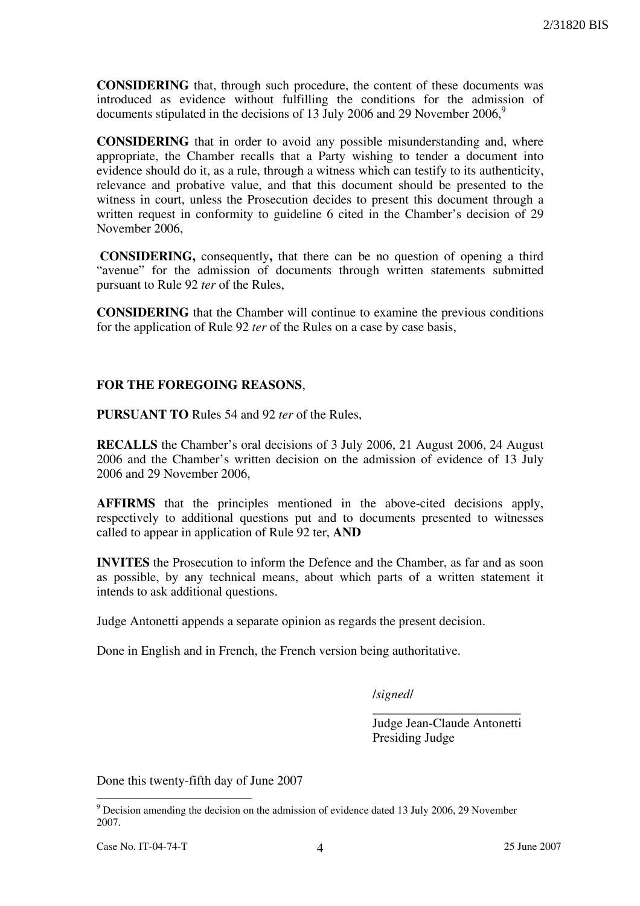CONSIDERING that, through such procedure, the content of these documents was introduced as evidence without fulfilling the conditions for the admission of documents stipulated in the decisions of 13 July 2006 and 29 November  $2006<sup>9</sup>$ 

CONSIDERING that in order to avoid any possible misunderstanding and, where appropriate, the Chamber recalls that a Party wishing to tender a document into evidence should do it, as a rule, through a witness which can testify to its authenticity, relevance and probative value, and that this document should be presented to the witness in court, unless the Prosecution decides to present this document through a written request in conformity to guideline 6 cited in the Chamber's decision of 29 November 2006,

CONSIDERING, consequently, that there can be no question of opening a third "avenue" for the admission of documents through written statements submitted pursuant to Rule 92 ter of the Rules,

CONSIDERING that the Chamber will continue to examine the previous conditions for the application of Rule 92 ter of the Rules on a case by case basis,

## FOR THE FOREGOING REASONS,

PURSUANT TO Rules 54 and 92 ter of the Rules,

RECALLS the Chamber's oral decisions of 3 July 2006, 21 August 2006, 24 August 2006 and the Chamber's written decision on the admission of evidence of 13 July 2006 and 29 November 2006,

AFFIRMS that the principles mentioned in the above-cited decisions apply, respectively to additional questions put and to documents presented to witnesses called to appear in application of Rule 92 ter, AND

INVITES the Prosecution to inform the Defence and the Chamber, as far and as soon as possible, by any technical means, about which parts of a written statement it intends to ask additional questions.

Judge Antonetti appends a separate opinion as regards the present decision.

Done in English and in French, the French version being authoritative.

/signed/

\_\_\_\_\_\_\_\_\_\_\_\_\_\_\_\_\_\_\_\_\_\_\_ Judge Jean-Claude Antonetti Presiding Judge

Done this twenty-fifth day of June 2007

<sup>&</sup>lt;sup>9</sup> Decision amending the decision on the admission of evidence dated 13 July 2006, 29 November 2007.